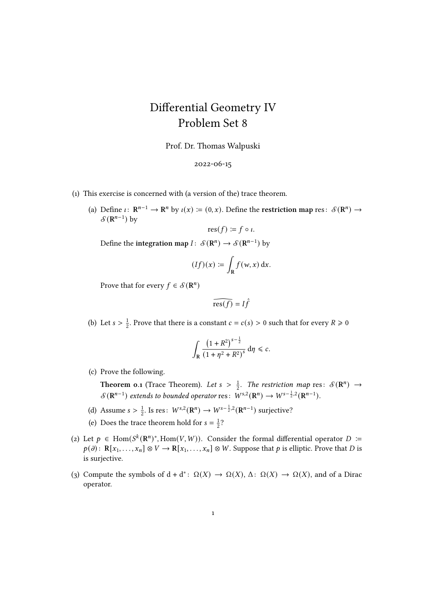## Differential Geometry IV Problem Set 8

Prof. Dr. Thomas Walpuski

## 2022-06-15

- (1) This exercise is concerned with (a version of the) trace theorem.
	- (a) Define  $\iota: \mathbb{R}^{n-1} \to \mathbb{R}^n$  by  $\iota(x) := (0, x)$ . Define the restriction map res:  $\mathcal{S}(\mathbb{R}^n) \to$  $\mathcal{S}(\mathbf{R}^{n-1})$  by

$$
res(f) \coloneqq f \circ \iota.
$$

Define the integration map  $I: S(\mathbf{R}^n) \to S(\mathbf{R}^{n-1})$  by

$$
(If)(x) \coloneqq \int_{\mathbf{R}} f(w, x) \, dx.
$$

Prove that for every  $f \in \mathcal{S}(\mathbf{R}^n)$ 

$$
\widehat{\operatorname{res}(f)} = I\widehat{f}
$$

(b) Let  $s > \frac{1}{2}$  $\frac{1}{2}$ . Prove that there is a constant  $c = c(s) > 0$  such that for every  $R \ge 0$ 

$$
\int_{\mathbf{R}} \frac{\left(1+R^2\right)^{s-\frac{1}{2}}}{\left(1+\eta^2+R^2\right)^s} \, \mathrm{d}\eta \leq c.
$$

(c) Prove the following.

**Theorem 0.1** (Trace Theorem). Let  $s > \frac{1}{2}$  $\frac{1}{2}$ . The restriction map res:  $\mathcal{S}(\mathbf{R}^n) \rightarrow$  $\mathcal{S}(\mathbf{R}^{n-1})$  extends to bounded operator res:  $W^{s,2}(\mathbf{R}^n) \to W^{s-\frac{1}{2},2}(\mathbf{R}^{n-1})$ .

- (d) Assume  $s > \frac{1}{2}$  $\frac{1}{2}$ . Is res:  $W^{s,2}(\mathbf{R}^n) \to W^{s-\frac{1}{2},2}(\mathbf{R}^{n-1})$  surjective?
- (e) Does the trace theorem hold for  $s = \frac{1}{2}$  $rac{1}{2}$ ?
- (2) Let  $p \in \text{Hom}(S^k(\mathbb{R}^n)^*, \text{Hom}(V, W))$ . Consider the formal differential operator  $D :=$  $p(\partial)$ :  $R[x_1, \ldots, x_n] \otimes V \to R[x_1, \ldots, x_n] \otimes W$ . Suppose that  $p$  is elliptic. Prove that  $D$  is is surjective.
- (3) Compute the symbols of  $d + d^* \colon \Omega(X) \to \Omega(X)$ ,  $\Delta \colon \Omega(X) \to \Omega(X)$ , and of a Dirac operator.